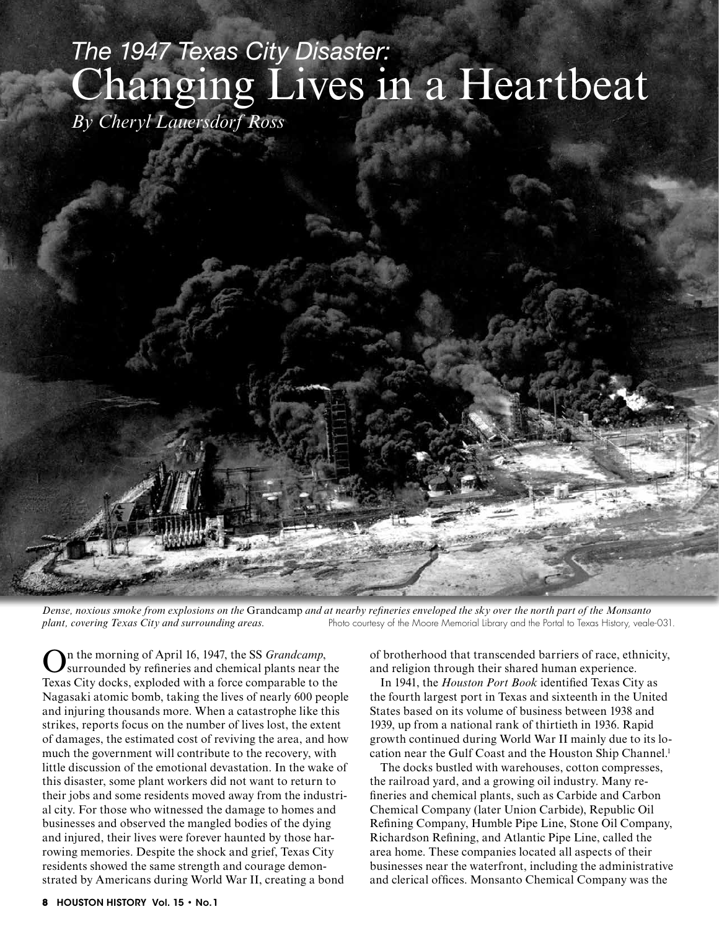## *The 1947 Texas City Disaster:* Changing Lives in a Heartbeat

*By Cheryl Lauersdorf Ross*



*Dense, noxious smoke from explosions on the* Grandcamp *and at nearby refineries enveloped the sky over the north part of the Monsanto plant, covering Texas City and surrounding areas.* Photo courtesy of the Moore Memorial Library and the Portal to Texas History, veale-031.

In the morning of April 16, 1947, the SS *Grandcamp*, surrounded by refineries and chemical plants near the Texas City docks, exploded with a force comparable to the Nagasaki atomic bomb, taking the lives of nearly 600 people and injuring thousands more. When a catastrophe like this strikes, reports focus on the number of lives lost, the extent of damages, the estimated cost of reviving the area, and how much the government will contribute to the recovery, with little discussion of the emotional devastation. In the wake of this disaster, some plant workers did not want to return to their jobs and some residents moved away from the industrial city. For those who witnessed the damage to homes and businesses and observed the mangled bodies of the dying and injured, their lives were forever haunted by those harrowing memories. Despite the shock and grief, Texas City residents showed the same strength and courage demonstrated by Americans during World War II, creating a bond

of brotherhood that transcended barriers of race, ethnicity, and religion through their shared human experience.

In 1941, the *Houston Port Book* identified Texas City as the fourth largest port in Texas and sixteenth in the United States based on its volume of business between 1938 and 1939, up from a national rank of thirtieth in 1936. Rapid growth continued during World War II mainly due to its location near the Gulf Coast and the Houston Ship Channel.<sup>1</sup>

The docks bustled with warehouses, cotton compresses, the railroad yard, and a growing oil industry. Many refineries and chemical plants, such as Carbide and Carbon Chemical Company (later Union Carbide), Republic Oil Refining Company, Humble Pipe Line, Stone Oil Company, Richardson Refining, and Atlantic Pipe Line, called the area home. These companies located all aspects of their businesses near the waterfront, including the administrative and clerical offices. Monsanto Chemical Company was the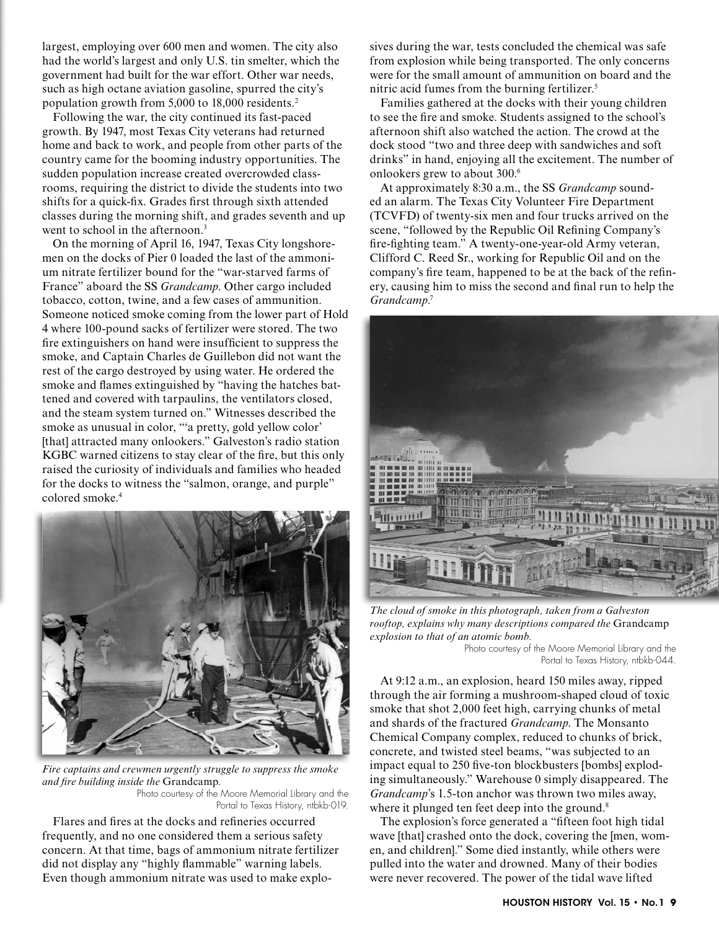largest, employing over 600 men and women. The city also had the world's largest and only U.S. tin smelter, which the government had built for the war effort. Other war needs, such as high octane aviation gasoline, spurred the city's population growth from 5,000 to 18,000 residents.2

Following the war, the city continued its fast-paced growth. By 1947, most Texas City veterans had returned home and back to work, and people from other parts of the country came for the booming industry opportunities. The sudden population increase created overcrowded classrooms, requiring the district to divide the students into two shifts for a quick-fix. Grades first through sixth attended classes during the morning shift, and grades seventh and up went to school in the afternoon.<sup>3</sup>

On the morning of April 16, 1947, Texas City longshoremen on the docks of Pier 0 loaded the last of the ammonium nitrate fertilizer bound for the "war-starved farms of France" aboard the SS *Grandcamp*. Other cargo included tobacco, cotton, twine, and a few cases of ammunition. Someone noticed smoke coming from the lower part of Hold 4 where 100-pound sacks of fertilizer were stored. The two fire extinguishers on hand were insufficient to suppress the smoke, and Captain Charles de Guillebon did not want the rest of the cargo destroyed by using water. He ordered the smoke and flames extinguished by "having the hatches battened and covered with tarpaulins, the ventilators closed, and the steam system turned on." Witnesses described the smoke as unusual in color, "'a pretty, gold yellow color' [that] attracted many onlookers." Galveston's radio station KGBC warned citizens to stay clear of the fire, but this only raised the curiosity of individuals and families who headed for the docks to witness the "salmon, orange, and purple" colored smoke.4



*Fire captains and crewmen urgently struggle to suppress the smoke and fire building inside the* Grandcamp*.*  Photo courtesy of the Moore Memorial Library and the Portal to Texas History, ntbkb-019.

Flares and fires at the docks and refineries occurred frequently, and no one considered them a serious safety concern. At that time, bags of ammonium nitrate fertilizer did not display any "highly flammable" warning labels. Even though ammonium nitrate was used to make explosives during the war, tests concluded the chemical was safe from explosion while being transported. The only concerns were for the small amount of ammunition on board and the nitric acid fumes from the burning fertilizer.5

Families gathered at the docks with their young children to see the fire and smoke. Students assigned to the school's afternoon shift also watched the action. The crowd at the dock stood "two and three deep with sandwiches and soft drinks" in hand, enjoying all the excitement. The number of onlookers grew to about 300.<sup>6</sup>

At approximately 8:30 a.m., the SS *Grandcamp* sounded an alarm. The Texas City Volunteer Fire Department (TCVFD) of twenty-six men and four trucks arrived on the scene, "followed by the Republic Oil Refining Company's fire-fighting team." A twenty-one-year-old Army veteran, Clifford C. Reed Sr., working for Republic Oil and on the company's fire team, happened to be at the back of the refinery, causing him to miss the second and final run to help the *Grandcamp*. 7



*The cloud of smoke in this photograph, taken from a Galveston rooftop, explains why many descriptions compared the* Grandcamp *explosion to that of an atomic bomb.* 

Photo courtesy of the Moore Memorial Library and the Portal to Texas History, ntbkb-044.

At 9:12 a.m., an explosion, heard 150 miles away, ripped through the air forming a mushroom-shaped cloud of toxic smoke that shot 2,000 feet high, carrying chunks of metal and shards of the fractured *Grandcamp*. The Monsanto Chemical Company complex, reduced to chunks of brick, concrete, and twisted steel beams, "was subjected to an impact equal to 250 five-ton blockbusters [bombs] exploding simultaneously." Warehouse 0 simply disappeared. The *Grandcamp*'s 1.5-ton anchor was thrown two miles away, where it plunged ten feet deep into the ground.<sup>8</sup>

The explosion's force generated a "fifteen foot high tidal wave [that] crashed onto the dock, covering the [men, women, and children]." Some died instantly, while others were pulled into the water and drowned. Many of their bodies were never recovered. The power of the tidal wave lifted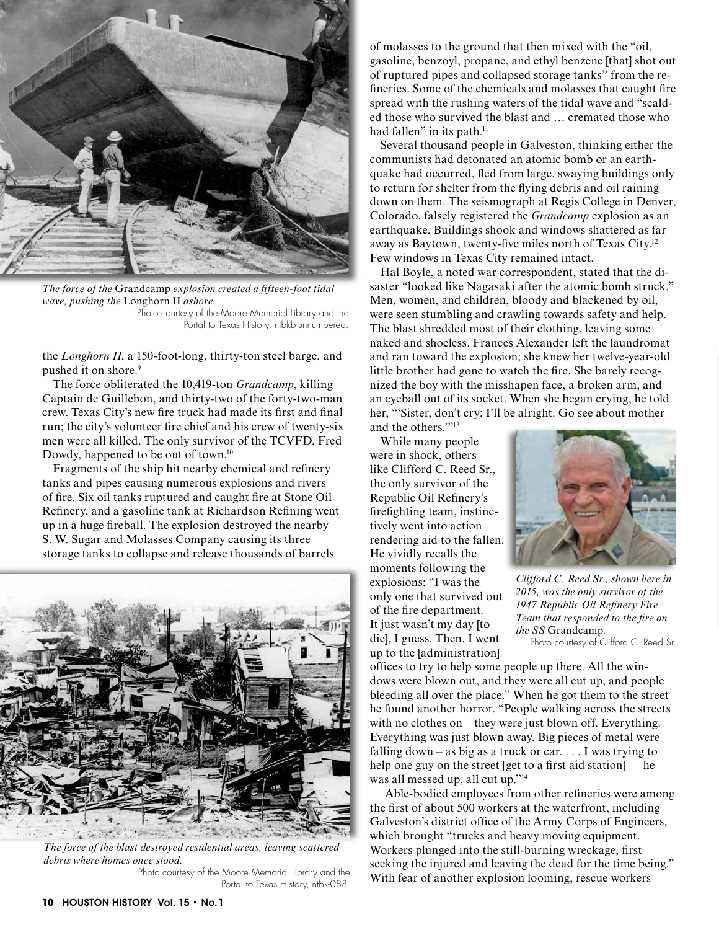

*The force of the* Grandcamp *explosion created a fifteen-foot tidal wave, pushing the* Longhorn II *ashore.*  Photo courtesy of the Moore Memorial Library and the Portal to Texas History, ntbkb-unnumbered.

the *Longhorn II*, a 150-foot-long, thirty-ton steel barge, and pushed it on shore.<sup>9</sup>

The force obliterated the 10,419-ton *Grandcamp*, killing Captain de Guillebon, and thirty-two of the forty-two-man crew. Texas City's new fire truck had made its first and final run; the city's volunteer fire chief and his crew of twenty-six men were all killed. The only survivor of the TCVFD, Fred Dowdy, happened to be out of town.<sup>10</sup>

Fragments of the ship hit nearby chemical and refinery tanks and pipes causing numerous explosions and rivers of fire. Six oil tanks ruptured and caught fire at Stone Oil Refinery, and a gasoline tank at Richardson Refining went up in a huge fireball. The explosion destroyed the nearby S. W. Sugar and Molasses Company causing its three storage tanks to collapse and release thousands of barrels



*The force of the blast destroyed residential areas, leaving scattered debris where homes once stood.*  Photo courtesy of the Moore Memorial Library and the

Portal to Texas History, ntbk-088.

of molasses to the ground that then mixed with the "oil, gasoline, benzoyl, propane, and ethyl benzene [that] shot out of ruptured pipes and collapsed storage tanks" from the refineries. Some of the chemicals and molasses that caught fire spread with the rushing waters of the tidal wave and "scalded those who survived the blast and … cremated those who had fallen" in its path.<sup>11</sup>

Several thousand people in Galveston, thinking either the communists had detonated an atomic bomb or an earthquake had occurred, fled from large, swaying buildings only to return for shelter from the flying debris and oil raining down on them. The seismograph at Regis College in Denver, Colorado, falsely registered the *Grandcamp* explosion as an earthquake. Buildings shook and windows shattered as far away as Baytown, twenty-five miles north of Texas City.12 Few windows in Texas City remained intact.

Hal Boyle, a noted war correspondent, stated that the disaster "looked like Nagasaki after the atomic bomb struck." Men, women, and children, bloody and blackened by oil, were seen stumbling and crawling towards safety and help. The blast shredded most of their clothing, leaving some naked and shoeless. Frances Alexander left the laundromat and ran toward the explosion; she knew her twelve-year-old little brother had gone to watch the fire. She barely recognized the boy with the misshapen face, a broken arm, and an eyeball out of its socket. When she began crying, he told her, "'Sister, don't cry; I'll be alright. Go see about mother and the others.'"13

While many people were in shock, others like Clifford C. Reed Sr., the only survivor of the Republic Oil Refinery's firefighting team, instinctively went into action rendering aid to the fallen. He vividly recalls the moments following the explosions: "I was the only one that survived out of the fire department. It just wasn't my day [to die], I guess. Then, I went up to the [administration]



*Clifford C. Reed Sr., shown here in 2015, was the only survivor of the 1947 Republic Oil Refinery Fire Team that responded to the fire on the SS* Grandcamp*.*  Photo courtesy of Clifford C. Reed Sr.

offices to try to help some people up there. All the windows were blown out, and they were all cut up, and people bleeding all over the place." When he got them to the street he found another horror. "People walking across the streets with no clothes on – they were just blown off. Everything. Everything was just blown away. Big pieces of metal were falling down – as big as a truck or car.  $\ldots$  I was trying to help one guy on the street [get to a first aid station] — he was all messed up, all cut up."14

Able-bodied employees from other refineries were among the first of about 500 workers at the waterfront, including Galveston's district office of the Army Corps of Engineers, which brought "trucks and heavy moving equipment. Workers plunged into the still-burning wreckage, first seeking the injured and leaving the dead for the time being." With fear of another explosion looming, rescue workers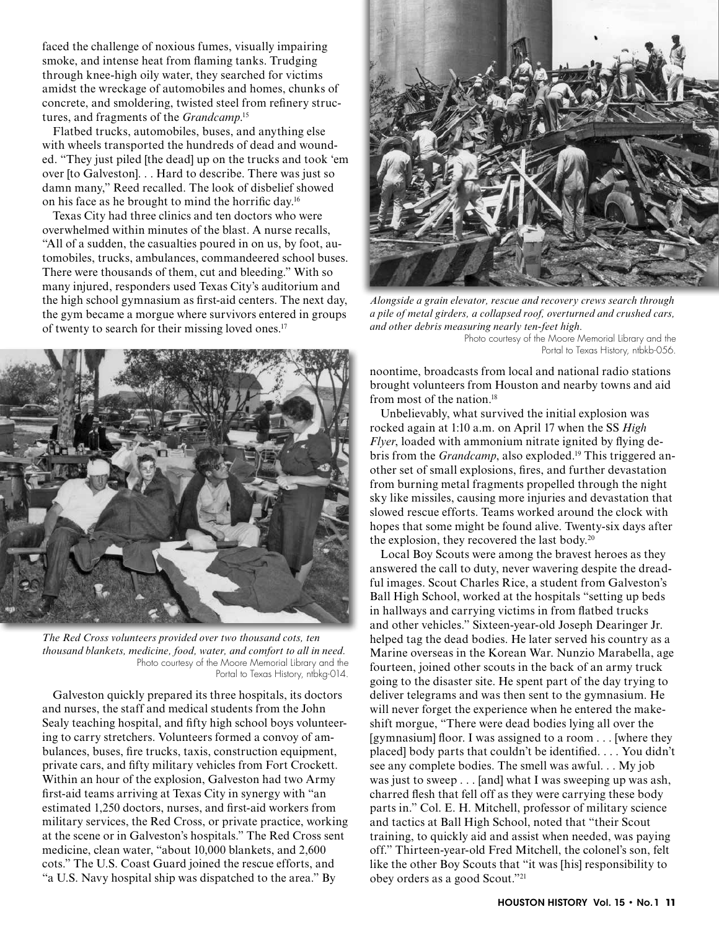faced the challenge of noxious fumes, visually impairing smoke, and intense heat from flaming tanks. Trudging through knee-high oily water, they searched for victims amidst the wreckage of automobiles and homes, chunks of concrete, and smoldering, twisted steel from refinery structures, and fragments of the *Grandcamp*. 15

Flatbed trucks, automobiles, buses, and anything else with wheels transported the hundreds of dead and wounded. "They just piled [the dead] up on the trucks and took 'em over [to Galveston]. . . Hard to describe. There was just so damn many," Reed recalled. The look of disbelief showed on his face as he brought to mind the horrific day.16

Texas City had three clinics and ten doctors who were overwhelmed within minutes of the blast. A nurse recalls, "All of a sudden, the casualties poured in on us, by foot, automobiles, trucks, ambulances, commandeered school buses. There were thousands of them, cut and bleeding." With so many injured, responders used Texas City's auditorium and the high school gymnasium as first-aid centers. The next day, the gym became a morgue where survivors entered in groups of twenty to search for their missing loved ones.<sup>17</sup>



*The Red Cross volunteers provided over two thousand cots, ten thousand blankets, medicine, food, water, and comfort to all in need.*  Photo courtesy of the Moore Memorial Library and the Portal to Texas History, ntbkg-014.

Galveston quickly prepared its three hospitals, its doctors and nurses, the staff and medical students from the John Sealy teaching hospital, and fifty high school boys volunteering to carry stretchers. Volunteers formed a convoy of ambulances, buses, fire trucks, taxis, construction equipment, private cars, and fifty military vehicles from Fort Crockett. Within an hour of the explosion, Galveston had two Army first-aid teams arriving at Texas City in synergy with "an estimated 1,250 doctors, nurses, and first-aid workers from military services, the Red Cross, or private practice, working at the scene or in Galveston's hospitals." The Red Cross sent medicine, clean water, "about 10,000 blankets, and 2,600 cots." The U.S. Coast Guard joined the rescue efforts, and "a U.S. Navy hospital ship was dispatched to the area." By



*Alongside a grain elevator, rescue and recovery crews search through a pile of metal girders, a collapsed roof, overturned and crushed cars, and other debris measuring nearly ten-feet high.*

Photo courtesy of the Moore Memorial Library and the Portal to Texas History, ntbkb-056.

noontime, broadcasts from local and national radio stations brought volunteers from Houston and nearby towns and aid from most of the nation.18

Unbelievably, what survived the initial explosion was rocked again at 1:10 a.m. on April 17 when the SS *High Flyer*, loaded with ammonium nitrate ignited by flying debris from the *Grandcamp*, also exploded.<sup>19</sup> This triggered another set of small explosions, fires, and further devastation from burning metal fragments propelled through the night sky like missiles, causing more injuries and devastation that slowed rescue efforts. Teams worked around the clock with hopes that some might be found alive. Twenty-six days after the explosion, they recovered the last body.<sup>20</sup>

Local Boy Scouts were among the bravest heroes as they answered the call to duty, never wavering despite the dreadful images. Scout Charles Rice, a student from Galveston's Ball High School, worked at the hospitals "setting up beds in hallways and carrying victims in from flatbed trucks and other vehicles." Sixteen-year-old Joseph Dearinger Jr. helped tag the dead bodies. He later served his country as a Marine overseas in the Korean War. Nunzio Marabella, age fourteen, joined other scouts in the back of an army truck going to the disaster site. He spent part of the day trying to deliver telegrams and was then sent to the gymnasium. He will never forget the experience when he entered the makeshift morgue, "There were dead bodies lying all over the [gymnasium] floor. I was assigned to a room . . . [where they placed] body parts that couldn't be identified. . . . You didn't see any complete bodies. The smell was awful. . . My job was just to sweep . . . [and] what I was sweeping up was ash, charred flesh that fell off as they were carrying these body parts in." Col. E. H. Mitchell, professor of military science and tactics at Ball High School, noted that "their Scout training, to quickly aid and assist when needed, was paying off." Thirteen-year-old Fred Mitchell, the colonel's son, felt like the other Boy Scouts that "it was [his] responsibility to obey orders as a good Scout."21